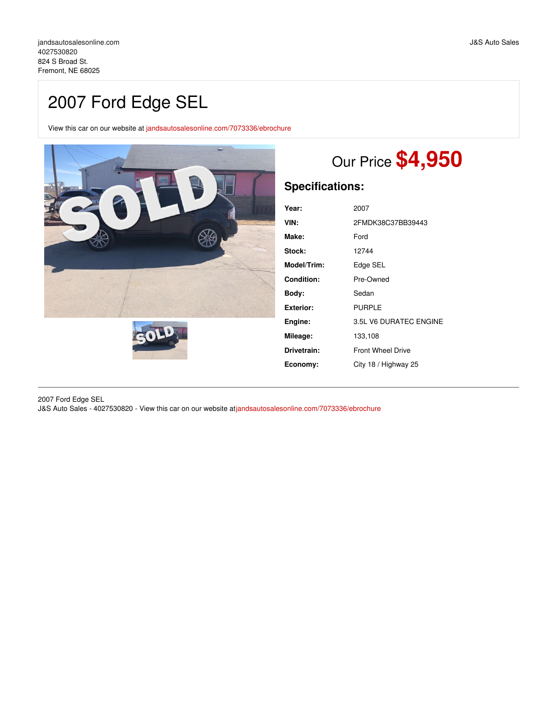## 2007 Ford Edge SEL

View this car on our website at [jandsautosalesonline.com/7073336/ebrochure](https://jandsautosalesonline.com/vehicle/7073336/2007-ford-edge-sel-fremont-ne-68025/7073336/ebrochure)





# Our Price **\$4,950**

## **Specifications:**

| Year:             | 2007                     |
|-------------------|--------------------------|
| VIN:              | 2FMDK38C37BB39443        |
| Make:             | Ford                     |
| Stock:            | 12744                    |
| Model/Trim:       | Edge SEL                 |
| <b>Condition:</b> | Pre-Owned                |
| Body:             | Sedan                    |
| Exterior:         | <b>PURPLE</b>            |
| Engine:           | 3.5L V6 DURATEC ENGINE   |
| Mileage:          | 133,108                  |
| Drivetrain:       | <b>Front Wheel Drive</b> |
| Economy:          | City 18 / Highway 25     |

2007 Ford Edge SEL

J&S Auto Sales - 4027530820 - View this car on our website at[jandsautosalesonline.com/7073336/ebrochure](https://jandsautosalesonline.com/vehicle/7073336/2007-ford-edge-sel-fremont-ne-68025/7073336/ebrochure)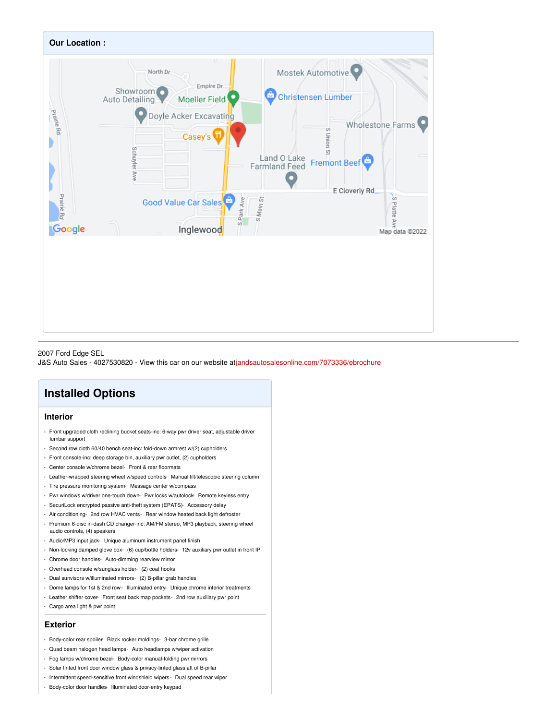

#### 2007 Ford Edge SEL

J&S Auto Sales - 4027530820 - View this car on our website at[jandsautosalesonline.com/7073336/ebrochure](https://jandsautosalesonline.com/vehicle/7073336/2007-ford-edge-sel-fremont-ne-68025/7073336/ebrochure)

### **Installed Options**

#### **Interior**

- Front upgraded cloth reclining bucket seats-inc: 6-way pwr driver seat, adjustable driver lumbar support
- Second row cloth 60/40 bench seat-inc: fold-down armrest w/(2) cupholders
- Front console-inc: deep storage bin, auxiliary pwr outlet, (2) cupholders
- Center console w/chrome bezel- Front & rear floormats
- Leather-wrapped steering wheel w/speed controls- Manual tilt/telescopic steering column
- Tire pressure monitoring system- Message center w/compass
- Pwr windows w/driver one-touch down- Pwr locks w/autolock- Remote keyless entry
- SecuriLock encrypted passive anti-theft system (EPATS)- Accessory delay
- Air conditioning- 2nd row HVAC vents- Rear window heated back light defroster
- Premium 6-disc in-dash CD changer-inc: AM/FM stereo, MP3 playback, steering wheel audio controls, (4) speakers
- Audio/MP3 input jack- Unique aluminum instrument panel finish
- Non-locking damped glove box- (6) cup/bottle holders- 12v auxiliary pwr outlet in front IP
- Chrome door handles- Auto-dimming rearview mirror
- Overhead console w/sunglass holder- (2) coat hooks
- Dual sunvisors w/illuminated mirrors- (2) B-pillar grab handles
- Dome lamps for 1st & 2nd row- Illuminated entry- Unique chrome interior treatments
- Leather shifter cover- Front seat back map pockets- 2nd row auxiliary pwr point
- Cargo area light & pwr point

#### **Exterior**

- Body-color rear spoiler- Black rocker moldings- 3-bar chrome grille
- Quad beam halogen head lamps- Auto headlamps w/wiper activation
- Fog lamps w/chrome bezel- Body-color manual-folding pwr mirrors
- Solar tinted front door window glass & privacy-tinted glass aft of B-pillar
- Intermittent speed-sensitive front windshield wipers- Dual speed rear wiper
- Body-color door handles- Illuminated door-entry keypad